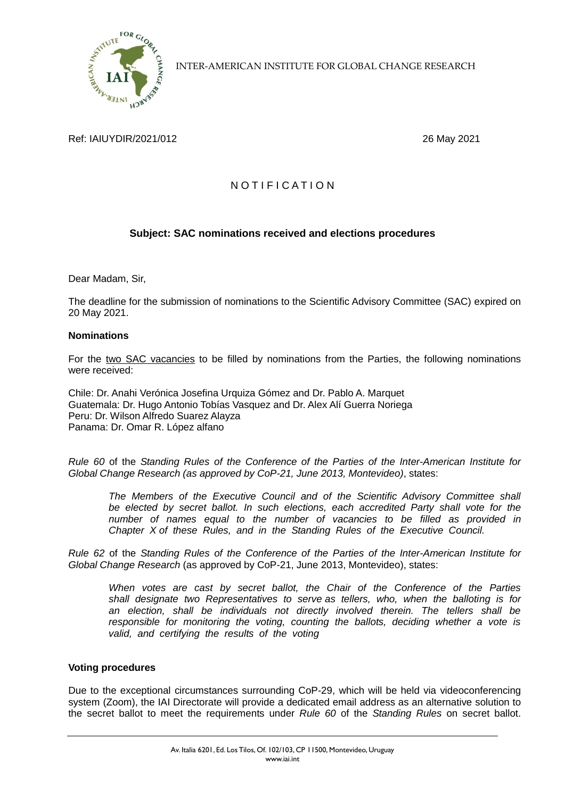

INTER-AMERICAN INSTITUTE FOR GLOBAL CHANGE RESEARCH

## Ref: IAIUYDIR/2021/012 26 May 2021

# N O T I F I C A T I O N

## **Subject: SAC nominations received and elections procedures**

Dear Madam, Sir,

The deadline for the submission of nominations to the Scientific Advisory Committee (SAC) expired on 20 May 2021.

#### **Nominations**

For the two SAC vacancies to be filled by nominations from the Parties, the following nominations were received:

Chile: Dr. Anahi Verónica Josefina Urquiza Gómez and Dr. Pablo A. Marquet Guatemala: Dr. Hugo Antonio Tobías Vasquez and Dr. Alex Alí Guerra Noriega Peru: Dr. Wilson Alfredo Suarez Alayza Panama: Dr. Omar R. López alfano

*Rule 60* of the *Standing Rules of the Conference of the Parties of the Inter-American Institute for Global Change Research (as approved by CoP-21, June 2013, Montevideo)*, states:

*The Members of the Executive Council and of the Scientific Advisory Committee shall*  be elected by secret ballot. In such elections, each accredited Party shall vote for the *number of names equal to the number of vacancies to be filled as provided in Chapter X of these Rules, and in the Standing Rules of the Executive Council.*

*Rule 62* of the *Standing Rules of the Conference of the Parties of the Inter-American Institute for Global Change Research* (as approved by CoP-21, June 2013, Montevideo), states:

*When votes are cast by secret ballot, the Chair of the Conference of the Parties shall designate two Representatives to serve as tellers, who, when the balloting is for an election, shall be individuals not directly involved therein. The tellers shall be responsible for monitoring the voting, counting the ballots, deciding whether a vote is valid, and certifying the results of the voting* 

#### **Voting procedures**

Due to the exceptional circumstances surrounding CoP-29, which will be held via videoconferencing system (Zoom), the IAI Directorate will provide a dedicated email address as an alternative solution to the secret ballot to meet the requirements under *Rule 60* of the *Standing Rules* on secret ballot.